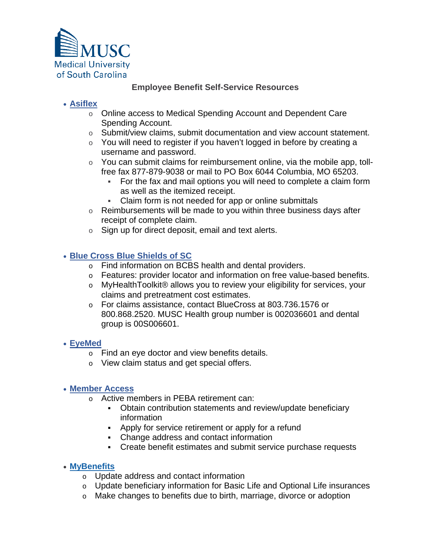

## **Employee Benefit Self-Service Resources**

## • **[Asiflex](https://my.asiflex.com/?refresh=1)**

- o Online access to Medical Spending Account and Dependent Care Spending Account.
- o Submit/view claims, submit documentation and view account statement.
- $\circ$  You will need to register if you haven't logged in before by creating a username and password.
- $\circ$  You can submit claims for reimbursement online, via the mobile app, tollfree fax 877-879-9038 or mail to PO Box 6044 Columbia, MO 65203.
	- For the fax and mail options you will need to complete a claim form as well as the itemized receipt.
	- Claim form is not needed for app or online submittals
- $\circ$  Reimbursements will be made to you within three business days after receipt of complete claim.
- $\circ$  Sign up for direct deposit, email and text alerts.

#### • **[Blue Cross Blue Shields of SC](https://www.southcarolinablues.com/web/public/brands/sc/)**

- o Find information on BCBS health and dental providers.
- o Features: provider locator and information on free value-based benefits.
- o MyHealthToolkit® allows you to review your eligibility for services, your claims and pretreatment cost estimates.
- o For claims assistance, contact BlueCross at 803.736.1576 or 800.868.2520. MUSC Health group number is 002036601 and dental group is 00S006601.

#### • **[EyeMed](https://member.eyemedvisioncare.com/#/peba/en)**

- o Find an eye doctor and view benefits details.
- o View claim status and get special offers.

#### • **[Member Access](https://urldefense.com/v3/__http:/r20.rs6.net/tn.jsp?f=001CeRxyJI3vCsBInfP4y-EfT6dSuXs67O2nA4__S7HnRxahbiBd_aqFV2NF72Z71uTnFnmn7B6UE_wl6k44k1cXL1Zxx9UWv9s0wlhcf44gAMGAaVCO0-_1IZtN-ZSHTpj_1jpcRUIU-upctmuX3ObBgNAFcs7L6vO_MCJDvycS0vKVqUrH1uHcSbjN_Or-miM&c=j4zNJowlUoXv97wnAIvdot_rJxOjUyn122LBzhSbt-8ZIpx0QwYxYw==&ch=jzfhiH9WJgZrgWerd_WWOQTiej2PA1pn_4dBFcJ-KDP66i8Xzau7IQ==__;!!Ab1_Rw!UEXikXwV4YzH-JYyzJ6ar4Y8w48fLkrbscPYvkjDT1CwfnSKtHBW5lUf-Z5Gk2E$)**

- o Active members in PEBA retirement can:
	- Obtain contribution statements and review/update beneficiary information
	- Apply for service retirement or apply for a refund
	- Change address and contact information
	- Create benefit estimates and submit service purchase requests

#### • **[MyBenefits](https://urldefense.com/v3/__http:/r20.rs6.net/tn.jsp?f=001CeRxyJI3vCsBInfP4y-EfT6dSuXs67O2nA4__S7HnRxahbiBd_aqFRDWuY3RZjCUhp-iavO7UIuI01aFpChhwO-F0Jnvvb8NiQhJCooGeMIQa20zOfrDLPnnd8gqyBn1helbTOZXysyCg5iBBbF7lg==&c=j4zNJowlUoXv97wnAIvdot_rJxOjUyn122LBzhSbt-8ZIpx0QwYxYw==&ch=jzfhiH9WJgZrgWerd_WWOQTiej2PA1pn_4dBFcJ-KDP66i8Xzau7IQ==__;!!Ab1_Rw!UEXikXwV4YzH-JYyzJ6ar4Y8w48fLkrbscPYvkjDT1CwfnSKtHBW5lUfc5ZS2xY$)**

- o Update address and contact information
- o Update beneficiary information for Basic Life and Optional Life insurances
- o Make changes to benefits due to birth, marriage, divorce or adoption